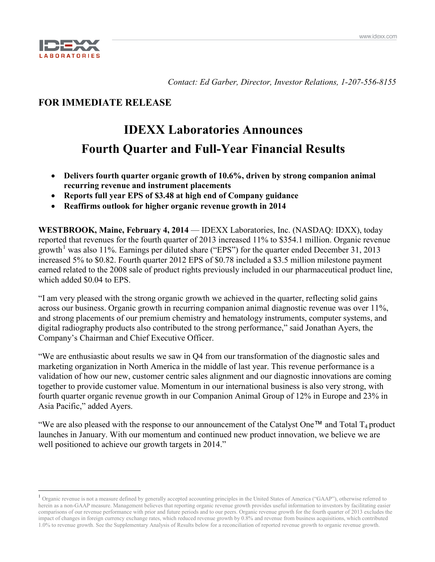

*Contact: Ed Garber, Director, Investor Relations, 1-207-556-8155*

## **FOR IMMEDIATE RELEASE**

# **IDEXX Laboratories Announces Fourth Quarter and Full-Year Financial Results**

- **Delivers fourth quarter organic growth of 10.6%, driven by strong companion animal recurring revenue and instrument placements**
- **Reports full year EPS of \$3.48 at high end of Company guidance**
- **Reaffirms outlook for higher organic revenue growth in 2014**

**WESTBROOK, Maine, February 4, 2014** — IDEXX Laboratories, Inc. (NASDAQ: IDXX), today reported that revenues for the fourth quarter of 2013 increased 11% to \$354.1 million. Organic revenue growth<sup>[1](#page-0-0)</sup> was also 11%. Earnings per diluted share ("EPS") for the quarter ended December 31, 2013 increased 5% to \$0.82. Fourth quarter 2012 EPS of \$0.78 included a \$3.5 million milestone payment earned related to the 2008 sale of product rights previously included in our pharmaceutical product line, which added \$0.04 to EPS.

"I am very pleased with the strong organic growth we achieved in the quarter, reflecting solid gains across our business. Organic growth in recurring companion animal diagnostic revenue was over 11%, and strong placements of our premium chemistry and hematology instruments, computer systems, and digital radiography products also contributed to the strong performance," said Jonathan Ayers, the Company's Chairman and Chief Executive Officer.

"We are enthusiastic about results we saw in Q4 from our transformation of the diagnostic sales and marketing organization in North America in the middle of last year. This revenue performance is a validation of how our new, customer centric sales alignment and our diagnostic innovations are coming together to provide customer value. Momentum in our international business is also very strong, with fourth quarter organic revenue growth in our Companion Animal Group of 12% in Europe and 23% in Asia Pacific," added Ayers.

"We are also pleased with the response to our announcement of the Catalyst One<sup>™</sup> and Total T<sub>4</sub> product launches in January. With our momentum and continued new product innovation, we believe we are well positioned to achieve our growth targets in 2014."

<span id="page-0-0"></span> <sup>1</sup> Organic revenue is not a measure defined by generally accepted accounting principles in the United States of America ("GAAP"), otherwise referred to herein as a non-GAAP measure. Management believes that reporting organic revenue growth provides useful information to investors by facilitating easier comparisons of our revenue performance with prior and future periods and to our peers. Organic revenue growth for the fourth quarter of 2013 excludes the impact of changes in foreign currency exchange rates, which reduced revenue growth by 0.8% and revenue from business acquisitions, which contributed 1.0% to revenue growth. See the Supplementary Analysis of Results below for a reconciliation of reported revenue growth to organic revenue growth.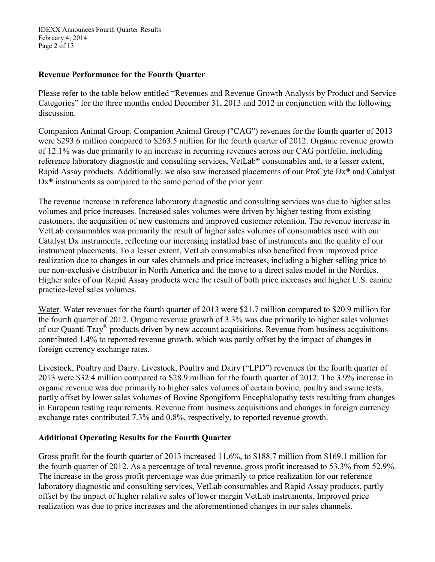IDEXX Announces Fourth Quarter Results February 4, 2014 Page 2 of 13

### **Revenue Performance for the Fourth Quarter**

Please refer to the table below entitled "Revenues and Revenue Growth Analysis by Product and Service Categories" for the three months ended December 31, 2013 and 2012 in conjunction with the following discussion.

Companion Animal Group. Companion Animal Group ("CAG") revenues for the fourth quarter of 2013 were \$293.6 million compared to \$263.5 million for the fourth quarter of 2012. Organic revenue growth of 12.1% was due primarily to an increase in recurring revenues across our CAG portfolio, including reference laboratory diagnostic and consulting services, VetLab® consumables and, to a lesser extent, Rapid Assay products. Additionally, we also saw increased placements of our ProCyte Dx® and Catalyst  $Dx^{\circ}$  instruments as compared to the same period of the prior year.

The revenue increase in reference laboratory diagnostic and consulting services was due to higher sales volumes and price increases. Increased sales volumes were driven by higher testing from existing customers, the acquisition of new customers and improved customer retention. The revenue increase in VetLab consumables was primarily the result of higher sales volumes of consumables used with our Catalyst Dx instruments, reflecting our increasing installed base of instruments and the quality of our instrument placements. To a lesser extent, VetLab consumables also benefited from improved price realization due to changes in our sales channels and price increases, including a higher selling price to our non-exclusive distributor in North America and the move to a direct sales model in the Nordics. Higher sales of our Rapid Assay products were the result of both price increases and higher U.S. canine practice-level sales volumes.

Water. Water revenues for the fourth quarter of 2013 were \$21.7 million compared to \$20.9 million for the fourth quarter of 2012. Organic revenue growth of 3.3% was due primarily to higher sales volumes of our Quanti-Tray® products driven by new account acquisitions. Revenue from business acquisitions contributed 1.4% to reported revenue growth, which was partly offset by the impact of changes in foreign currency exchange rates.

Livestock, Poultry and Dairy. Livestock, Poultry and Dairy ("LPD") revenues for the fourth quarter of 2013 were \$32.4 million compared to \$28.9 million for the fourth quarter of 2012. The 3.9% increase in organic revenue was due primarily to higher sales volumes of certain bovine, poultry and swine tests, partly offset by lower sales volumes of Bovine Spongiform Encephalopathy tests resulting from changes in European testing requirements. Revenue from business acquisitions and changes in foreign currency exchange rates contributed 7.3% and 0.8%, respectively, to reported revenue growth.

### **Additional Operating Results for the Fourth Quarter**

Gross profit for the fourth quarter of 2013 increased 11.6%, to \$188.7 million from \$169.1 million for the fourth quarter of 2012. As a percentage of total revenue, gross profit increased to 53.3% from 52.9%. The increase in the gross profit percentage was due primarily to price realization for our reference laboratory diagnostic and consulting services, VetLab consumables and Rapid Assay products, partly offset by the impact of higher relative sales of lower margin VetLab instruments. Improved price realization was due to price increases and the aforementioned changes in our sales channels.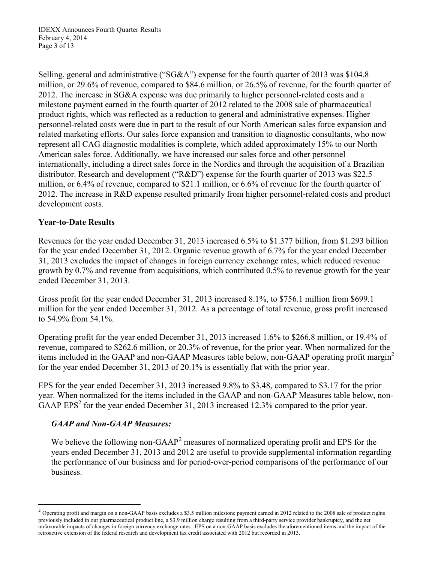IDEXX Announces Fourth Quarter Results February 4, 2014 Page 3 of 13

Selling, general and administrative ("SG&A") expense for the fourth quarter of 2013 was \$104.8 million, or 29.6% of revenue, compared to \$84.6 million, or 26.5% of revenue, for the fourth quarter of 2012. The increase in SG&A expense was due primarily to higher personnel-related costs and a milestone payment earned in the fourth quarter of 2012 related to the 2008 sale of pharmaceutical product rights, which was reflected as a reduction to general and administrative expenses. Higher personnel-related costs were due in part to the result of our North American sales force expansion and related marketing efforts. Our sales force expansion and transition to diagnostic consultants, who now represent all CAG diagnostic modalities is complete, which added approximately 15% to our North American sales force. Additionally, we have increased our sales force and other personnel internationally, including a direct sales force in the Nordics and through the acquisition of a Brazilian distributor. Research and development ("R&D") expense for the fourth quarter of 2013 was \$22.5 million, or 6.4% of revenue, compared to \$21.1 million, or 6.6% of revenue for the fourth quarter of 2012. The increase in R&D expense resulted primarily from higher personnel-related costs and product development costs.

## **Year-to-Date Results**

Revenues for the year ended December 31, 2013 increased 6.5% to \$1.377 billion, from \$1.293 billion for the year ended December 31, 2012. Organic revenue growth of 6.7% for the year ended December 31, 2013 excludes the impact of changes in foreign currency exchange rates, which reduced revenue growth by 0.7% and revenue from acquisitions, which contributed 0.5% to revenue growth for the year ended December 31, 2013.

Gross profit for the year ended December 31, 2013 increased 8.1%, to \$756.1 million from \$699.1 million for the year ended December 31, 2012. As a percentage of total revenue, gross profit increased to 54.9% from 54.1%.

Operating profit for the year ended December 31, 2013 increased 1.6% to \$266.8 million, or 19.4% of revenue, compared to \$262.6 million, or 20.3% of revenue, for the prior year. When normalized for the items included in the GAAP and non-GAAP Measures table below, non-GAAP operating profit margin<sup>2</sup> for the year ended December 31, 2013 of 20.1% is essentially flat with the prior year.

EPS for the year ended December 31, 2013 increased 9.8% to \$3.48, compared to \$3.17 for the prior year. When normalized for the items included in the GAAP and non-GAAP Measures table below, non- $GAAP EPS<sup>2</sup>$  for the year ended December 31, 2013 increased 12.3% compared to the prior year.

## *GAAP and Non-GAAP Measures:*

We believe the following non-GAAP<sup>[2](#page-2-0)</sup> measures of normalized operating profit and EPS for the years ended December 31, 2013 and 2012 are useful to provide supplemental information regarding the performance of our business and for period-over-period comparisons of the performance of our business.

<span id="page-2-0"></span> $2$  Operating profit and margin on a non-GAAP basis excludes a \$3.5 million milestone payment earned in 2012 related to the 2008 sale of product rights previously included in our pharmaceutical product line, a \$3.9 million charge resulting from a third-party service provider bankruptcy, and the net unfavorable impacts of changes in foreign currency exchange rates. EPS on a non-GAAP basis excludes the aforementioned items and the impact of the retroactive extension of the federal research and development tax credit associated with 2012 but recorded in 2013.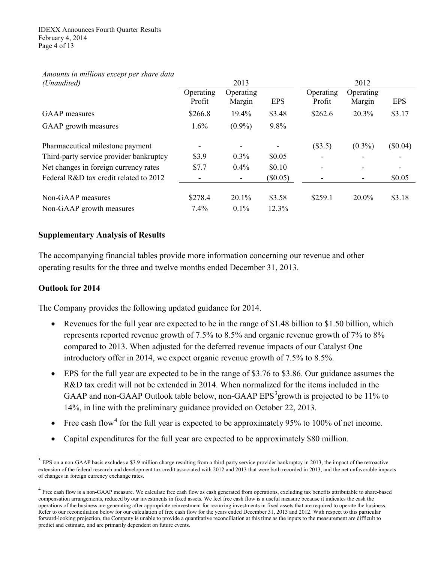## *Amounts in millions except per share data*

| (Unaudited)                             |           | 2013          |            | 2012                     |                          |            |  |
|-----------------------------------------|-----------|---------------|------------|--------------------------|--------------------------|------------|--|
|                                         | Operating | Operating     |            | Operating                | Operating                |            |  |
|                                         | Profit    | <b>Margin</b> | <b>EPS</b> | Profit                   | Margin                   | <b>EPS</b> |  |
| <b>GAAP</b> measures                    | \$266.8   | 19.4%         | \$3.48     | \$262.6                  | 20.3%                    | \$3.17     |  |
| GAAP growth measures                    | 1.6%      | $(0.9\%)$     | 9.8%       |                          |                          |            |  |
| Pharmaceutical milestone payment        |           |               |            | $(\$3.5)$                | $(0.3\%)$                | $(\$0.04)$ |  |
| Third-party service provider bankruptcy | \$3.9     | $0.3\%$       | \$0.05     | $\overline{\phantom{0}}$ |                          |            |  |
| Net changes in foreign currency rates   | \$7.7     | $0.4\%$       | \$0.10     | -                        | $\overline{\phantom{a}}$ |            |  |
| Federal R&D tax credit related to 2012  |           | -             | $(\$0.05)$ |                          | $\overline{\phantom{a}}$ | \$0.05     |  |
| Non-GAAP measures                       | \$278.4   | 20.1%         | \$3.58     | \$259.1                  | 20.0%                    | \$3.18     |  |
| Non-GAAP growth measures                | $7.4\%$   | 0.1%          | 12.3%      |                          |                          |            |  |

## **Supplementary Analysis of Results**

The accompanying financial tables provide more information concerning our revenue and other operating results for the three and twelve months ended December 31, 2013.

## **Outlook for 2014**

The Company provides the following updated guidance for 2014.

- Revenues for the full year are expected to be in the range of \$1.48 billion to \$1.50 billion, which represents reported revenue growth of 7.5% to 8.5% and organic revenue growth of 7% to 8% compared to 2013. When adjusted for the deferred revenue impacts of our Catalyst One introductory offer in 2014, we expect organic revenue growth of 7.5% to 8.5%.
- EPS for the full year are expected to be in the range of \$3.76 to \$3.86. Our guidance assumes the R&D tax credit will not be extended in 2014. When normalized for the items included in the GAAP and non-GAAP Outlook table below, non-GAAP  $EPS<sup>3</sup>$  $EPS<sup>3</sup>$  $EPS<sup>3</sup>$  growth is projected to be 11% to 14%, in line with the preliminary guidance provided on October 22, 2013.
- Free cash flow<sup>[4](#page-3-1)</sup> for the full year is expected to be approximately 95% to 100% of net income.
- Capital expenditures for the full year are expected to be approximately \$80 million.

<span id="page-3-0"></span> $3$  EPS on a non-GAAP basis excludes a \$3.9 million charge resulting from a third-party service provider bankruptcy in 2013, the impact of the retroactive extension of the federal research and development tax credit associated with 2012 and 2013 that were both recorded in 2013, and the net unfavorable impacts of changes in foreign currency exchange rates.

<span id="page-3-1"></span><sup>&</sup>lt;sup>4</sup> Free cash flow is a non-GAAP measure. We calculate free cash flow as cash generated from operations, excluding tax benefits attributable to share-based compensation arrangements, reduced by our investments in fixed assets. We feel free cash flow is a useful measure because it indicates the cash the operations of the business are generating after appropriate reinvestment for recurring investments in fixed assets that are required to operate the business. Refer to our reconciliation below for our calculation of free cash flow for the years ended December 31, 2013 and 2012. With respect to this particular forward-looking projection, the Company is unable to provide a quantitative reconciliation at this time as the inputs to the measurement are difficult to predict and estimate, and are primarily dependent on future events.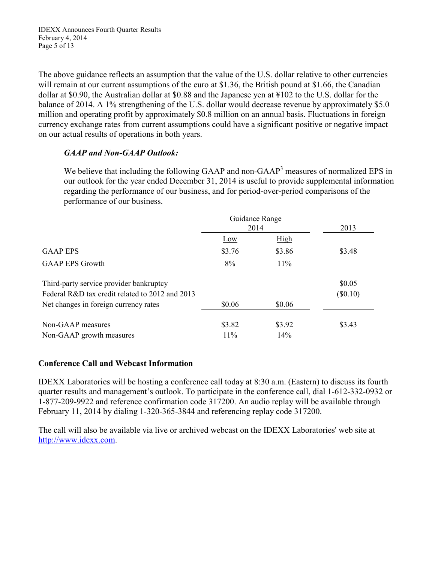IDEXX Announces Fourth Quarter Results February 4, 2014 Page 5 of 13

The above guidance reflects an assumption that the value of the U.S. dollar relative to other currencies will remain at our current assumptions of the euro at \$1.36, the British pound at \$1.66, the Canadian dollar at \$0.90, the Australian dollar at \$0.88 and the Japanese yen at ¥102 to the U.S. dollar for the balance of 2014. A 1% strengthening of the U.S. dollar would decrease revenue by approximately \$5.0 million and operating profit by approximately \$0.8 million on an annual basis. Fluctuations in foreign currency exchange rates from current assumptions could have a significant positive or negative impact on our actual results of operations in both years.

## *GAAP and Non-GAAP Outlook:*

We believe that including the following GAAP and non-GAAP<sup>3</sup> measures of normalized EPS in our outlook for the year ended December 31, 2014 is useful to provide supplemental information regarding the performance of our business, and for period-over-period comparisons of the performance of our business.

|                                                                                            | Guidance Range<br>2014 |             | 2013       |
|--------------------------------------------------------------------------------------------|------------------------|-------------|------------|
|                                                                                            | Low                    | <b>High</b> |            |
| <b>GAAP EPS</b>                                                                            | \$3.76                 | \$3.86      | \$3.48     |
| <b>GAAP EPS Growth</b>                                                                     | 8%                     | 11%         |            |
| Third-party service provider bankruptcy<br>Federal R&D tax credit related to 2012 and 2013 |                        |             | \$0.05     |
| Net changes in foreign currency rates                                                      | \$0.06                 | \$0.06      | $(\$0.10)$ |
| Non-GAAP measures                                                                          | \$3.82                 | \$3.92      | \$3.43     |
| Non-GAAP growth measures                                                                   | 11%                    | 14%         |            |

## **Conference Call and Webcast Information**

IDEXX Laboratories will be hosting a conference call today at 8:30 a.m. (Eastern) to discuss its fourth quarter results and management's outlook. To participate in the conference call, dial 1-612-332-0932 or 1-877-209-9922 and reference confirmation code 317200. An audio replay will be available through February 11, 2014 by dialing 1-320-365-3844 and referencing replay code 317200.

The call will also be available via live or archived webcast on the IDEXX Laboratories' web site at [http://www.idexx.com.](http://www.idexx.com/)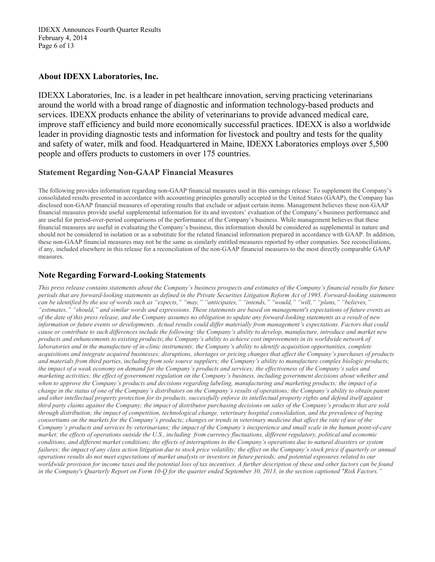IDEXX Announces Fourth Quarter Results February 4, 2014 Page 6 of 13

#### **About IDEXX Laboratories, Inc.**

IDEXX Laboratories, Inc. is a leader in pet healthcare innovation, serving practicing veterinarians around the world with a broad range of diagnostic and information technology-based products and services. IDEXX products enhance the ability of veterinarians to provide advanced medical care, improve staff efficiency and build more economically successful practices. IDEXX is also a worldwide leader in providing diagnostic tests and information for livestock and poultry and tests for the quality and safety of water, milk and food. Headquartered in Maine, IDEXX Laboratories employs over 5,500 people and offers products to customers in over 175 countries.

### **Statement Regarding Non-GAAP Financial Measures**

The following provides information regarding non-GAAP financial measures used in this earnings release: To supplement the Company's consolidated results presented in accordance with accounting principles generally accepted in the United States (GAAP), the Company has disclosed non-GAAP financial measures of operating results that exclude or adjust certain items. Management believes these non-GAAP financial measures provide useful supplemental information for its and investors' evaluation of the Company's business performance and are useful for period-over-period comparisons of the performance of the Company's business. While management believes that these financial measures are useful in evaluating the Company's business, this information should be considered as supplemental in nature and should not be considered in isolation or as a substitute for the related financial information prepared in accordance with GAAP. In addition, these non-GAAP financial measures may not be the same as similarly entitled measures reported by other companies. See reconciliations, if any, included elsewhere in this release for a reconciliation of the non-GAAP financial measures to the most directly comparable GAAP measures.

### **Note Regarding Forward-Looking Statements**

*This press release contains statements about the Company's business prospects and estimates of the Company's financial results for future periods that are forward-looking statements as defined in the Private Securities Litigation Reform Act of 1995. Forward-looking statements can be identified by the use of words such as "expects," "may," "anticipates," "intends," "would," "will," "plans," "believes,"*  "estimates," "should," and similar words and expressions. These statements are based on management's expectations of future events as *of the date of this press release, and the Company assumes no obligation to update any forward-looking statements as a result of new information or future events or developments. Actual results could differ materially from management's expectations. Factors that could cause or contribute to such differences include the following: the Company's ability to develop, manufacture, introduce and market new products and enhancements to existing products*; *the Company's ability to achieve cost improvements in its worldwide network of laboratories and in the manufacture of in-clinic instruments; the Company's ability to identify acquisition opportunities, complete acquisitions and integrate acquired businesses; disruptions, shortages or pricing changes that affect the Company's purchases of products and materials from third parties, including from sole source suppliers; the Company's ability to manufacture complex biologic products; the impact of a weak economy on demand for the Company's products and services; the effectiveness of the Company's sales and marketing activities; the effect of government regulation on the Company's business, including government decisions about whether and when to approve the Company's products and decisions regarding labeling, manufacturing and marketing products; the impact of a change in the status of one of the Company's distributors on the Company's results of operations; the Company's ability to obtain patent and other intellectual property protection for its products, successfully enforce its intellectual property rights and defend itself against third party claims against the Company; the impact of distributor purchasing decisions on sales of the Company's products that are sold through distribution; the impact of competition, technological change, veterinary hospital consolidation, and the prevalence of buying consortiums on the markets for the Company's products; changes or trends in veterinary medicine that affect the rate of use of the Company's products and services by veterinarians; the impact of the Company's inexperience and small scale in the human point-of-care market; the effects of operations outside the U.S., including from currency fluctuations, different regulatory, political and economic conditions, and different market conditions; the effects of interruptions to the Company's operations due to natural disasters or system failures; the impact of any class action litigation due to stock price volatility; the effect on the Company's stock price if quarterly or annual operations results do not meet expectations of market analysts or investors in future periods; and potential exposures related to our worldwide provision for income taxes and the potential loss of tax incentives. A further description of these and other factors can be found in the Company's Quarterly Report on Form 10-Q for the quarter ended September 30, 2013, in the section captioned "Risk Factors."*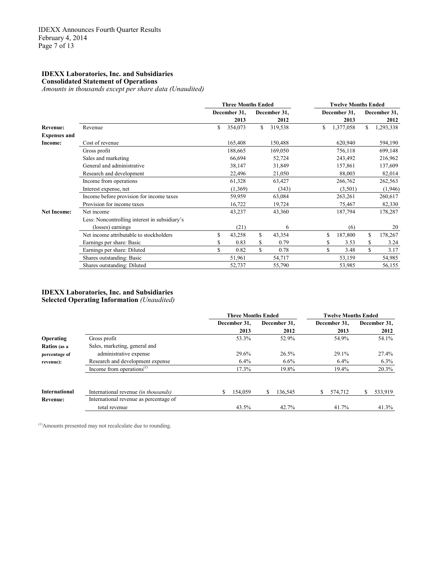## **Consolidated Statement of Operations**

*Amounts in thousands except per share data (Unaudited)*

|                     |                                               | <b>Three Months Ended</b> |    |              | <b>Twelve Months Ended</b> |              |    |              |
|---------------------|-----------------------------------------------|---------------------------|----|--------------|----------------------------|--------------|----|--------------|
|                     |                                               | December 31,              |    | December 31, |                            | December 31, |    | December 31, |
|                     |                                               | 2013                      |    | 2012         |                            | 2013         |    | 2012         |
| <b>Revenue:</b>     | Revenue                                       | \$<br>354,073             | S. | 319,538      | \$                         | 1,377,058    | S. | 1,293,338    |
| <b>Expenses and</b> |                                               |                           |    |              |                            |              |    |              |
| Income:             | Cost of revenue                               | 165,408                   |    | 150,488      |                            | 620,940      |    | 594,190      |
|                     | Gross profit                                  | 188,665                   |    | 169,050      |                            | 756,118      |    | 699,148      |
|                     | Sales and marketing                           | 66,694                    |    | 52,724       |                            | 243,492      |    | 216,962      |
|                     | General and administrative                    | 38,147                    |    | 31,849       |                            | 157,861      |    | 137,609      |
|                     | Research and development                      | 22,496                    |    | 21,050       |                            | 88,003       |    | 82,014       |
|                     | Income from operations                        | 61,328                    |    | 63,427       |                            | 266,762      |    | 262,563      |
|                     | Interest expense, net                         | (1,369)                   |    | (343)        |                            | (3,501)      |    | (1,946)      |
|                     | Income before provision for income taxes      | 59,959                    |    | 63,084       |                            | 263,261      |    | 260,617      |
|                     | Provision for income taxes                    | 16,722                    |    | 19,724       |                            | 75,467       |    | 82,330       |
| <b>Net Income:</b>  | Net income                                    | 43,237                    |    | 43,360       |                            | 187,794      |    | 178,287      |
|                     | Less: Noncontrolling interest in subsidiary's |                           |    |              |                            |              |    |              |
|                     | (losses) earnings                             | (21)                      |    | 6            |                            | (6)          |    | 20           |
|                     | Net income attributable to stockholders       | \$<br>43,258              | \$ | 43,354       | \$                         | 187,800      | \$ | 178,267      |
|                     | Earnings per share: Basic                     | 0.83                      | \$ | 0.79         |                            | 3.53         | \$ | 3.24         |
|                     | Earnings per share: Diluted                   | \$<br>0.82                | \$ | 0.78         | \$.                        | 3.48         | \$ | 3.17         |
|                     | Shares outstanding: Basic                     | 51,961                    |    | 54,717       |                            | 53,159       |    | 54,985       |
|                     | Shares outstanding: Diluted                   | 52,737                    |    | 55,790       |                            | 53,985       |    | 56,155       |

#### **IDEXX Laboratories, Inc. and Subsidiaries Selected Operating Information** *(Unaudited)*

|                      |                                                    | <b>Three Months Ended</b> |               | <b>Twelve Months Ended</b> |               |  |  |
|----------------------|----------------------------------------------------|---------------------------|---------------|----------------------------|---------------|--|--|
|                      |                                                    | December 31.              | December 31.  | December 31.               | December 31.  |  |  |
|                      |                                                    | 2013                      | 2012          | 2013                       | 2012          |  |  |
| Operating            | Gross profit                                       | 53.3%                     | 52.9%         | 54.9%                      | 54.1%         |  |  |
| Ratios (as a         | Sales, marketing, general and                      |                           |               |                            |               |  |  |
| percentage of        | administrative expense                             | 29.6%                     | 26.5%         | 29.1%                      | 27.4%         |  |  |
| revenue):            | Research and development expense                   | $6.4\%$                   | 6.6%          | 6.4%                       | 6.3%          |  |  |
|                      | Income from operations <sup><math>(1)</math></sup> | 17.3%                     | 19.8%         | 19.4%                      | 20.3%         |  |  |
| <b>International</b> | International revenue <i>(in thousands)</i>        | S<br>154.059              | 136,545<br>S. | 574,712<br>S               | 533,919<br>\$ |  |  |
| <b>Revenue:</b>      | International revenue as percentage of             |                           |               |                            |               |  |  |
|                      | total revenue                                      | 43.5%                     | 42.7%         | 41.7%                      | 41.3%         |  |  |

<sup>(1)</sup> Amounts presented may not recalculate due to rounding.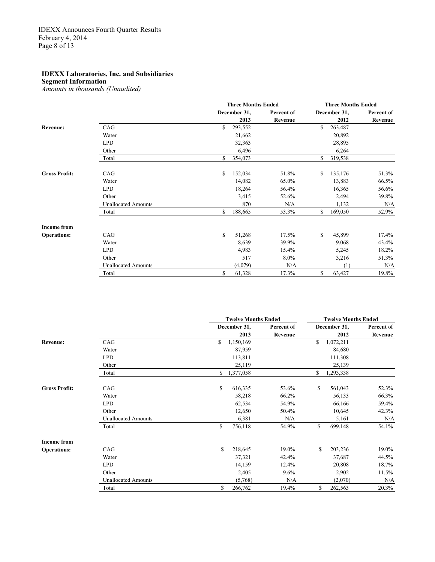#### **Segment Information**

*Amounts in thousands (Unaudited)*

|                      |                            | <b>Three Months Ended</b> |            | <b>Three Months Ended</b> |              |            |  |  |
|----------------------|----------------------------|---------------------------|------------|---------------------------|--------------|------------|--|--|
|                      |                            | December 31,              | Percent of |                           | December 31, | Percent of |  |  |
|                      |                            | 2013                      | Revenue    |                           | 2012         | Revenue    |  |  |
| <b>Revenue:</b>      | CAG                        | \$<br>293,552             |            | \$                        | 263,487      |            |  |  |
|                      | Water                      | 21,662                    |            |                           | 20,892       |            |  |  |
|                      | <b>LPD</b>                 | 32,363                    |            |                           | 28,895       |            |  |  |
|                      | Other                      | 6,496                     |            |                           | 6,264        |            |  |  |
|                      | Total                      | \$<br>354,073             |            | \$                        | 319,538      |            |  |  |
| <b>Gross Profit:</b> | CAG                        | \$<br>152,034             | 51.8%      | \$                        | 135,176      | 51.3%      |  |  |
|                      | Water                      | 14,082                    | 65.0%      |                           | 13,883       | 66.5%      |  |  |
|                      | <b>LPD</b>                 | 18,264                    | 56.4%      |                           | 16,365       | 56.6%      |  |  |
|                      | Other                      | 3,415                     | 52.6%      |                           | 2,494        | 39.8%      |  |  |
|                      | <b>Unallocated Amounts</b> | 870                       | N/A        |                           | 1,132        | N/A        |  |  |
|                      | Total                      | \$<br>188,665             | 53.3%      | \$                        | 169,050      | 52.9%      |  |  |
| <b>Income from</b>   |                            |                           |            |                           |              |            |  |  |
| <b>Operations:</b>   | CAG                        | \$<br>51,268              | 17.5%      | \$                        | 45,899       | 17.4%      |  |  |
|                      | Water                      | 8,639                     | 39.9%      |                           | 9,068        | 43.4%      |  |  |
|                      | <b>LPD</b>                 | 4,983                     | 15.4%      |                           | 5,245        | 18.2%      |  |  |
|                      | Other                      | 517                       | $8.0\%$    |                           | 3,216        | 51.3%      |  |  |
|                      | <b>Unallocated Amounts</b> | (4,079)                   | N/A        |                           | (1)          | N/A        |  |  |
|                      | Total                      | \$<br>61,328              | 17.3%      | \$                        | 63,427       | 19.8%      |  |  |

|                      |                            |     | <b>Twelve Months Ended</b> |            | <b>Twelve Months Ended</b> |              |            |  |
|----------------------|----------------------------|-----|----------------------------|------------|----------------------------|--------------|------------|--|
|                      |                            |     | December 31,               | Percent of |                            | December 31, | Percent of |  |
|                      |                            |     | 2013                       | Revenue    |                            | 2012         | Revenue    |  |
| <b>Revenue:</b>      | CAG                        | \$  | 1,150,169                  |            | \$                         | 1,072,211    |            |  |
|                      | Water                      |     | 87,959                     |            |                            | 84,680       |            |  |
|                      | <b>LPD</b>                 |     | 113,811                    |            |                            | 111,308      |            |  |
|                      | Other                      |     | 25,119                     |            |                            | 25,139       |            |  |
|                      | Total                      | \$  | 1,377,058                  |            | \$                         | 1,293,338    |            |  |
| <b>Gross Profit:</b> | CAG                        | \$  | 616,335                    | 53.6%      | \$                         | 561,043      | 52.3%      |  |
|                      | Water                      |     | 58,218                     | 66.2%      |                            | 56,133       | 66.3%      |  |
|                      | <b>LPD</b>                 |     | 62,534                     | 54.9%      |                            | 66,166       | 59.4%      |  |
|                      | Other                      |     | 12,650                     | 50.4%      |                            | 10,645       | 42.3%      |  |
|                      | <b>Unallocated Amounts</b> |     | 6,381                      | N/A        |                            | 5,161        | N/A        |  |
|                      | Total                      | \$. | 756,118                    | 54.9%      | \$                         | 699,148      | 54.1%      |  |
| <b>Income from</b>   |                            |     |                            |            |                            |              |            |  |
| <b>Operations:</b>   | CAG                        | S.  | 218,645                    | 19.0%      | S                          | 203,236      | 19.0%      |  |
|                      | Water                      |     | 37,321                     | 42.4%      |                            | 37,687       | 44.5%      |  |
|                      | <b>LPD</b>                 |     | 14,159                     | 12.4%      |                            | 20,808       | 18.7%      |  |
|                      | Other                      |     | 2,405                      | 9.6%       |                            | 2,902        | 11.5%      |  |
|                      | <b>Unallocated Amounts</b> |     | (5,768)                    | N/A        |                            | (2,070)      | N/A        |  |
|                      | Total                      | \$  | 266,762                    | 19.4%      | S                          | 262,563      | 20.3%      |  |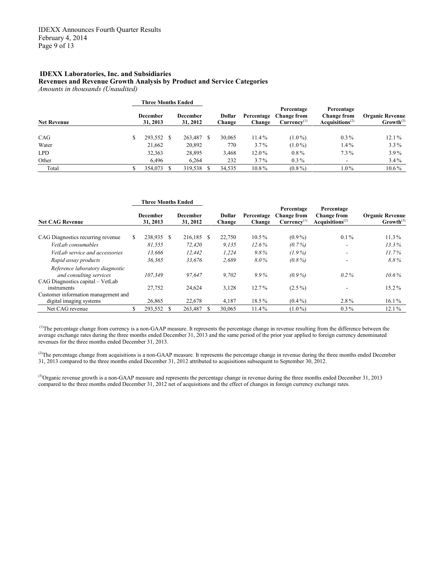#### **IDEXX Laboratories, Inc. and Subsidiaries Revenues and Revenue Growth Analysis by Product and Service Categories**

*Amounts in thousands (Unaudited)*

|                    | <b>Three Months Ended</b> |                      |                  |                      |                                                             |                                                                       |                                          |  |
|--------------------|---------------------------|----------------------|------------------|----------------------|-------------------------------------------------------------|-----------------------------------------------------------------------|------------------------------------------|--|
| <b>Net Revenue</b> | December<br>31, 2013      | December<br>31, 2012 | Dollar<br>Change | Percentage<br>Change | Percentage<br><b>Change from</b><br>Currence <sup>(1)</sup> | Percentage<br>Change from<br>Acquisitions <sup><math>(2)</math></sup> | <b>Organic Revenue</b><br>$Growth^{(3)}$ |  |
| CAG                | 293,552 \$                | 263,487 \$           | 30,065           | $11.4\%$             | $(1.0\%)$                                                   | $0.3\%$                                                               | $12.1\%$                                 |  |
| Water              | 21,662                    | 20,892               | 770              | $3.7\%$              | $(1.0\%)$                                                   | $1.4\%$                                                               | $3.3\%$                                  |  |
| <b>LPD</b>         | 32,363                    | 28,895               | 3,468            | 12.0%                | $0.8\%$                                                     | $7.3\%$                                                               | 3.9%                                     |  |
| Other              | 6.496                     | 6.264                | 232              | $3.7\%$              | $0.3\%$                                                     |                                                                       | $3.4\%$                                  |  |
| Total              | 354,073                   | 319,538              | 34,535           | 10.8%                | $(0.8\%)$                                                   | $1.0\%$                                                               | 10.6%                                    |  |

|                                                                                                |    | <b>Three Months Ended</b> |  |                      |  |                  |                      |                                                             |                                                                              |                                          |
|------------------------------------------------------------------------------------------------|----|---------------------------|--|----------------------|--|------------------|----------------------|-------------------------------------------------------------|------------------------------------------------------------------------------|------------------------------------------|
| <b>Net CAG Revenue</b>                                                                         |    | December<br>31, 2013      |  | December<br>31, 2012 |  | Dollar<br>Change | Percentage<br>Change | Percentage<br><b>Change from</b><br>Currency <sup>(1)</sup> | Percentage<br><b>Change from</b><br>Acquisitions <sup><math>(2)</math></sup> | <b>Organic Revenue</b><br>$Growth^{(3)}$ |
| CAG Diagnostics recurring revenue                                                              | S. | 238,935 \$                |  | 216,185 \$           |  | 22,750           | $10.5\%$             | $(0.9\%)$                                                   | $0.1\%$                                                                      | 11.3%                                    |
| VetLab consumables                                                                             |    | 81.555                    |  | 72.420               |  | 9.135            | 12.6%                | $(0.7\%)$                                                   | $\overline{\phantom{0}}$                                                     | 13.3%                                    |
| VetLab service and accessories                                                                 |    | 13.666                    |  | 12,442               |  | 1,224            | $9.8\%$              | $(1.9\%)$                                                   | $\overline{\phantom{0}}$                                                     | 11.7%                                    |
| Rapid assay products                                                                           |    | 36.365                    |  | 33.676               |  | 2,689            | 8.0%                 | $(0.8\%)$                                                   | $\overline{\phantom{0}}$                                                     | 8.8%                                     |
| Reference laboratory diagnostic<br>and consulting services<br>CAG Diagnostics capital - VetLab |    | 107.349                   |  | 97.647               |  | 9,702            | $9.9\%$              | $(0.9\%)$                                                   | $0.2\%$                                                                      | $10.6\%$                                 |
| instruments<br>Customer information management and                                             |    | 27,752                    |  | 24,624               |  | 3,128            | 12.7%                | $(2.5\%)$                                                   | $\overline{\phantom{a}}$                                                     | 15.2%                                    |
| digital imaging systems                                                                        |    | 26,865                    |  | 22,678               |  | 4,187            | 18.5%                | $(0.4\%)$                                                   | $2.8\%$                                                                      | $16.1\%$                                 |
| Net CAG revenue                                                                                | \$ | 293,552 \$                |  | 263,487              |  | 30,065           | 11.4%                | $(1.0\%)$                                                   | $0.3\%$                                                                      | 12.1%                                    |

 $<sup>(1)</sup>$ The percentage change from currency is a non-GAAP measure. It represents the percentage change in revenue resulting from the difference between the</sup> average exchange rates during the three months ended December 31, 2013 and the same period of the prior year applied to foreign currency denominated revenues for the three months ended December 31, 2013.

 $^{(2)}$ The percentage change from acquisitions is a non-GAAP measure. It represents the percentage change in revenue during the three months ended December 31, 2013 compared to the three months ended December 31, 2012 attributed to acquisitions subsequent to September 30, 2012.

 $(3)$ Organic revenue growth is a non-GAAP measure and represents the percentage change in revenue during the three months ended December 31, 2013 compared to the three months ended December 31, 2012 net of acquisitions and the effect of changes in foreign currency exchange rates.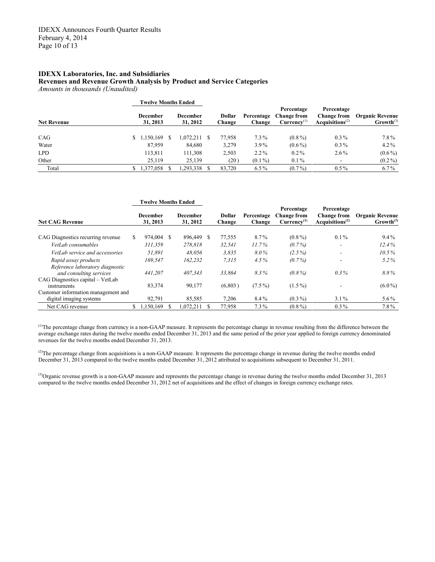#### **IDEXX Laboratories, Inc. and Subsidiaries Revenues and Revenue Growth Analysis by Product and Service Categories**

*Amounts in thousands (Unaudited)*

|                    |                      | Twelve Months Ended  |                  |                      |                                                             |                                                                 |                                          |  |
|--------------------|----------------------|----------------------|------------------|----------------------|-------------------------------------------------------------|-----------------------------------------------------------------|------------------------------------------|--|
| <b>Net Revenue</b> | December<br>31, 2013 | December<br>31, 2012 | Dollar<br>Change | Percentage<br>Change | Percentage<br><b>Change from</b><br>Currence <sup>(1)</sup> | Percentage<br><b>Change from</b><br>Acquisitions <sup>(2)</sup> | <b>Organic Revenue</b><br>$Growth^{(3)}$ |  |
| CAG                | 1,150,169            | .072,211             | 77,958           | $7.3\%$              | $(0.8\%)$                                                   | $0.3\%$                                                         | 7.8%                                     |  |
| Water              | 87,959               | 84,680               | 3,279            | 3.9%                 | $(0.6\%)$                                                   | $0.3\%$                                                         | $4.2\%$                                  |  |
| <b>LPD</b>         | 113,811              | 111,308              | 2,503            | $2.2\%$              | $0.2\%$                                                     | $2.6\%$                                                         | $(0.6\%)$                                |  |
| Other              | 25,119               | 25,139               | (20)             | $(0.1\%)$            | $0.1\%$                                                     |                                                                 | $(0.2\%)$                                |  |
| Total              | 1,377,058            | .293,338             | 83,720           | $6.5\%$              | $(0.7\%)$                                                   | $0.5\%$                                                         | $6.7\%$                                  |  |

|                                                                |    | <b>Twelve Months Ended</b>  |   |                             |    |                         |                      |                                                             |                                                                              |                                          |
|----------------------------------------------------------------|----|-----------------------------|---|-----------------------------|----|-------------------------|----------------------|-------------------------------------------------------------|------------------------------------------------------------------------------|------------------------------------------|
| <b>Net CAG Revenue</b>                                         |    | <b>December</b><br>31, 2013 |   | <b>December</b><br>31, 2012 |    | <b>Dollar</b><br>Change | Percentage<br>Change | Percentage<br><b>Change from</b><br>Currency <sup>(1)</sup> | Percentage<br><b>Change from</b><br>Acquisitions <sup><math>(2)</math></sup> | <b>Organic Revenue</b><br>$Growth^{(3)}$ |
| CAG Diagnostics recurring revenue                              | S. | 974,004                     | S | 896.449                     | -S | 77,555                  | 8.7%                 | $(0.8\%)$                                                   | $0.1\%$                                                                      | $9.4\%$                                  |
| VetLab consumables                                             |    | 311.359                     |   | 278.818                     |    | 32,541                  | $11.7\%$             | $(0.7\%)$                                                   |                                                                              | 12.4%                                    |
| VetLab service and accessories                                 |    | 51.891                      |   | 48.056                      |    | 3.835                   | $8.0\%$              | $(2.5\%)$                                                   | $\overline{\phantom{a}}$                                                     | 10.5%                                    |
| Rapid assay products<br>Reference laboratory diagnostic        |    | 169,547                     |   | 162.232                     |    | 7.315                   | $4.5\%$              | $(0.7\%)$                                                   | $\overline{\phantom{a}}$                                                     | 5.2%                                     |
| and consulting services                                        |    | 441.207                     |   | 407.343                     |    | 33.864                  | 8.3%                 | $(0.8\%)$                                                   | $0.3\%$                                                                      | 8.8%                                     |
| CAG Diagnostics capital - VetLab<br>instruments                |    | 83,374                      |   | 90,177                      |    | (6,803)                 | $(7.5\%)$            | $(1.5\%)$                                                   |                                                                              | $(6.0\%)$                                |
| Customer information management and<br>digital imaging systems |    | 92,791                      |   | 85,585                      |    | 7,206                   | $8.4\%$              | $(0.3\%)$                                                   | $3.1\%$                                                                      | $5.6\%$                                  |
| Net CAG revenue                                                |    | 1,150,169                   | S | .072,211                    |    | 77.958                  | $7.3\%$              | $(0.8\%)$                                                   | $0.3\%$                                                                      | 7.8%                                     |

 $<sup>(1)</sup>$ The percentage change from currency is a non-GAAP measure. It represents the percentage change in revenue resulting from the difference between the</sup> average exchange rates during the twelve months ended December 31, 2013 and the same period of the prior year applied to foreign currency denominated revenues for the twelve months ended December 31, 2013.

 $^{(2)}$ The percentage change from acquisitions is a non-GAAP measure. It represents the percentage change in revenue during the twelve months ended December 31, 2013 compared to the twelve months ended December 31, 2012 attributed to acquisitions subsequent to December 31, 2011.

(3) Organic revenue growth is a non-GAAP measure and represents the percentage change in revenue during the twelve months ended December 31, 2013 compared to the twelve months ended December 31, 2012 net of acquisitions and the effect of changes in foreign currency exchange rates.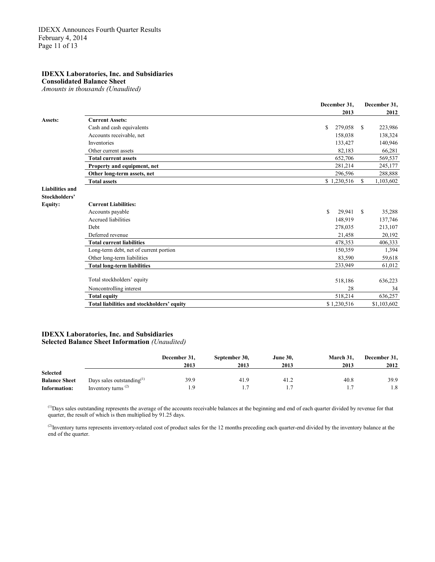**Consolidated Balance Sheet**

*Amounts in thousands (Unaudited)*

|                        |                                            | December 31,  | December 31,            |
|------------------------|--------------------------------------------|---------------|-------------------------|
|                        |                                            | 2013          | 2012                    |
| Assets:                | <b>Current Assets:</b>                     |               |                         |
|                        | Cash and cash equivalents                  | \$<br>279,058 | 223,986<br><sup>S</sup> |
|                        | Accounts receivable, net                   | 158,038       | 138,324                 |
|                        | Inventories                                | 133,427       | 140,946                 |
|                        | Other current assets                       | 82,183        | 66,281                  |
|                        | <b>Total current assets</b>                | 652,706       | 569,537                 |
|                        | Property and equipment, net                | 281,214       | 245,177                 |
|                        | Other long-term assets, net                | 296,596       | 288,888                 |
|                        | <b>Total assets</b>                        | \$1,230,516   | 1,103,602<br>S.         |
| <b>Liabilities and</b> |                                            |               |                         |
| Stockholders'          |                                            |               |                         |
| <b>Equity:</b>         | <b>Current Liabilities:</b>                |               |                         |
|                        | Accounts payable                           | \$<br>29,941  | 35,288<br><sup>\$</sup> |
|                        | Accrued liabilities                        | 148,919       | 137,746                 |
|                        | Debt                                       | 278,035       | 213,107                 |
|                        | Deferred revenue                           | 21,458        | 20,192                  |
|                        | <b>Total current liabilities</b>           | 478,353       | 406,333                 |
|                        | Long-term debt, net of current portion     | 150,359       | 1,394                   |
|                        | Other long-term liabilities                | 83,590        | 59,618                  |
|                        | <b>Total long-term liabilities</b>         | 233,949       | 61,012                  |
|                        |                                            |               |                         |
|                        | Total stockholders' equity                 | 518,186       | 636,223                 |
|                        | Noncontrolling interest                    | 28            | 34                      |
|                        | <b>Total equity</b>                        | 518,214       | 636,257                 |
|                        | Total liabilities and stockholders' equity | \$1,230,516   | \$1,103,602             |

#### **IDEXX Laboratories, Inc. and Subsidiaries Selected Balance Sheet Information** *(Unaudited)*

|                      |                              | December 31,<br>2013 | September 30,<br>2013 | <b>June 30,</b><br>2013 | March 31,<br>2013 | December 31,<br>2012 |
|----------------------|------------------------------|----------------------|-----------------------|-------------------------|-------------------|----------------------|
| <b>Selected</b>      |                              |                      |                       |                         |                   |                      |
| <b>Balance Sheet</b> | Days sales outstanding $(1)$ | 39.9                 | 41.9                  | 41.2                    | 40.8              | 39.9                 |
| Information:         | Inventory turns $(2)$        | 1.9                  |                       |                         |                   | 1.8                  |

 $<sup>(1)</sup>$ Days sales outstanding represents the average of the accounts receivable balances at the beginning and end of each quarter divided by revenue for that</sup> quarter, the result of which is then multiplied by 91.25 days.

 $^{(2)}$  Inventory turns represents inventory-related cost of product sales for the 12 months preceding each quarter-end divided by the inventory balance at the end of the quarter.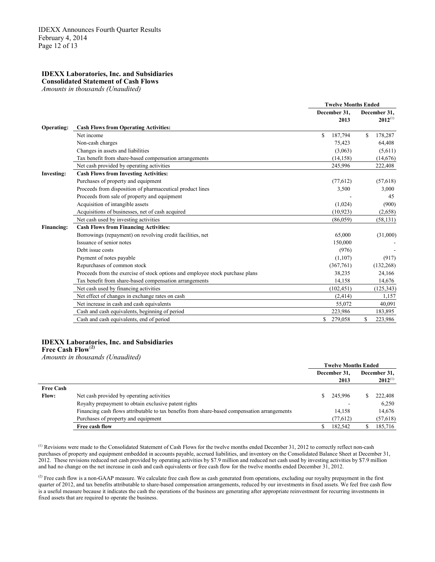**Consolidated Statement of Cash Flows**

*Amounts in thousands (Unaudited)*

|                   |                                                                               |               | <b>Twelve Months Ended</b> |  |  |  |  |
|-------------------|-------------------------------------------------------------------------------|---------------|----------------------------|--|--|--|--|
|                   |                                                                               | December 31,  | December 31,               |  |  |  |  |
|                   |                                                                               | 2013          | $2012^{(1)}$               |  |  |  |  |
| Operating:        | <b>Cash Flows from Operating Activities:</b>                                  |               |                            |  |  |  |  |
|                   | Net income                                                                    | \$<br>187,794 | $\mathbf S$<br>178,287     |  |  |  |  |
|                   | Non-cash charges                                                              | 75,423        | 64,408                     |  |  |  |  |
|                   | Changes in assets and liabilities                                             | (3,063)       | (5,611)                    |  |  |  |  |
|                   | Tax benefit from share-based compensation arrangements                        | (14, 158)     | (14,676)                   |  |  |  |  |
|                   | Net cash provided by operating activities                                     | 245,996       | 222,408                    |  |  |  |  |
| <b>Investing:</b> | <b>Cash Flows from Investing Activities:</b>                                  |               |                            |  |  |  |  |
|                   | Purchases of property and equipment                                           | (77, 612)     | (57, 618)                  |  |  |  |  |
|                   | Proceeds from disposition of pharmaceutical product lines                     | 3,500         | 3,000                      |  |  |  |  |
|                   | Proceeds from sale of property and equipment                                  |               | 45                         |  |  |  |  |
|                   | Acquisition of intangible assets                                              | (1,024)       | (900)                      |  |  |  |  |
|                   | Acquisitions of businesses, net of cash acquired                              | (10, 923)     | (2,658)                    |  |  |  |  |
|                   | Net cash used by investing activities                                         | (86,059)      | (58, 131)                  |  |  |  |  |
| <b>Financing:</b> | <b>Cash Flows from Financing Activities:</b>                                  |               |                            |  |  |  |  |
|                   | Borrowings (repayment) on revolving credit facilities, net                    | 65,000        | (31,000)                   |  |  |  |  |
|                   | Issuance of senior notes                                                      | 150,000       |                            |  |  |  |  |
|                   | Debt issue costs                                                              | (976)         |                            |  |  |  |  |
|                   | Payment of notes payable                                                      | (1,107)       | (917)                      |  |  |  |  |
|                   | Repurchases of common stock                                                   | (367,761)     | (132, 268)                 |  |  |  |  |
|                   | Proceeds from the exercise of stock options and employee stock purchase plans | 38,235        | 24,166                     |  |  |  |  |
|                   | Tax benefit from share-based compensation arrangements                        | 14,158        | 14,676                     |  |  |  |  |
|                   | Net cash used by financing activities                                         | (102, 451)    | (125, 343)                 |  |  |  |  |
|                   | Net effect of changes in exchange rates on cash                               | (2,414)       | 1,157                      |  |  |  |  |
|                   | Net increase in cash and cash equivalents                                     | 55,072        | 40,091                     |  |  |  |  |
|                   | Cash and cash equivalents, beginning of period                                | 223,986       | 183,895                    |  |  |  |  |
|                   | Cash and cash equivalents, end of period                                      | \$<br>279,058 | \$<br>223,986              |  |  |  |  |

#### **IDEXX Laboratories, Inc. and Subsidiaries**

**Free Cash Flow**(**2)**

*Amounts in thousands (Unaudited)*

|                  |                                                                                              | <b>Twelve Months Ended</b> |           |              |              |
|------------------|----------------------------------------------------------------------------------------------|----------------------------|-----------|--------------|--------------|
|                  |                                                                                              | December 31.               |           | December 31, |              |
|                  |                                                                                              |                            | 2013      |              | $2012^{(1)}$ |
| <b>Free Cash</b> |                                                                                              |                            |           |              |              |
| <b>Flow:</b>     | Net cash provided by operating activities                                                    | S.                         | 245,996   |              | 222,408      |
|                  | Royalty prepayment to obtain exclusive patent rights                                         |                            | -         |              | 6.250        |
|                  | Financing cash flows attributable to tax benefits from share-based compensation arrangements |                            | 14,158    |              | 14,676       |
|                  | Purchases of property and equipment                                                          |                            | (77, 612) |              | (57,618)     |
|                  | Free cash flow                                                                               |                            | 182,542   |              | 185,716      |

<sup>(1)</sup> Revisions were made to the Consolidated Statement of Cash Flows for the twelve months ended December 31, 2012 to correctly reflect non-cash purchases of property and equipment embedded in accounts payable, accrued liabilities, and inventory on the Consolidated Balance Sheet at December 31, 2012. These revisions reduced net cash provided by operating activities by \$7.9 million and reduced net cash used by investing activities by \$7.9 million and had no change on the net increase in cash and cash equivalents or free cash flow for the twelve months ended December 31, 2012.

 $<sup>(2)</sup>$  Free cash flow is a non-GAAP measure. We calculate free cash flow as cash generated from operations, excluding our royalty prepayment in the first</sup> quarter of 2012, and tax benefits attributable to share-based compensation arrangements, reduced by our investments in fixed assets. We feel free cash flow is a useful measure because it indicates the cash the operations of the business are generating after appropriate reinvestment for recurring investments in fixed assets that are required to operate the business.